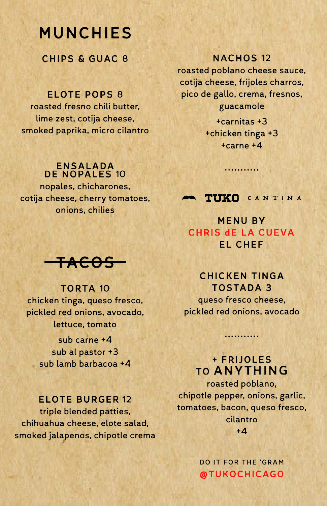# MUNCHIES

CHIPS & GUAC 8

### ELOTE POPS 8

roasted fresno chili butter, lime zest, cotija cheese, smoked paprika, micro cilantro

#### ENSALADA DE NOPALES 10

nopales, chicharones, cotija cheese, cherry tomatoes, onions, chilies

# TACOS

# TORTA 10 chicken tinga, queso fresco, pickled red onions, avocado, lettuce, tomato

sub carne +4 sub al pastor +3 sub lamb barbacoa +4

### ELOTE BURGER 12

triple blended patties, chihuahua cheese, elote salad, smoked jalapenos, chipotle crema

### NACHOS 12

roasted poblano cheese sauce, cotija cheese, frijoles charros, pico de gallo, crema, fresnos, guacamole

> +carnitas +3 +chicken tinga +3 +carne +4

TUKO CANTINA

•••••••••••

### MENU BY CHRIS dE LA CUEVA EL CHEF

### CHICKEN TINGA TOSTADA 3

queso fresco cheese, pickled red onions, avocado

•••••••••••

## + FRIJOLES TO ANYTHING

roasted poblano, chipotle pepper, onions, garlic, tomatoes, bacon, queso fresco, cilantro  $+4$ 

> **DO IT FOR THE 'GRAM @TUKOCHICAGO**